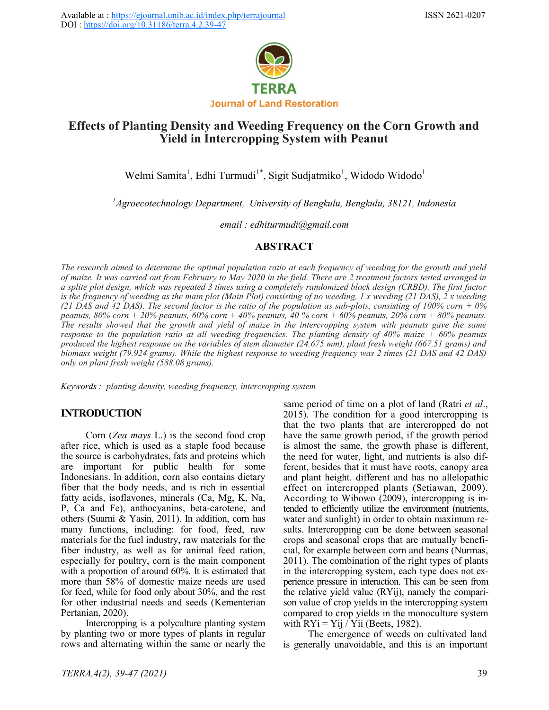

# **Effects of Planting Density and Weeding Frequency on the Corn Growth and Yield in Intercropping System with Peanut**

Welmi Samita<sup>1</sup>, Edhi Turmudi<sup>1\*</sup>, Sigit Sudjatmiko<sup>1</sup>, Widodo Widodo<sup>1</sup>

*<sup>1</sup>Agroecotechnology Department, University of Bengkulu, Bengkulu, 38121, Indonesia*

*email : edhiturmudi@gmail.com*

# **ABSTRACT**

*The research aimed to determine the optimal population ratio at each frequency of weeding for the growth and yield of maize. It was carried out from February to May 2020 in the field. There are 2 treatment factors tested arranged in a splite plot design, which was repeated 3 times using a completely randomized block design (CRBD). The first factor*  is the frequency of weeding as the main plot (Main Plot) consisting of no weeding, 1 x weeding (21 DAS), 2 x weeding *(21 DAS and 42 DAS). The second factor is the ratio of the population as sub-plots, consisting of 100% corn + 0% peanuts, 80% corn + 20% peanuts, 60% corn + 40% peanuts, 40 % corn + 60% peanuts, 20% corn + 80% peanuts. The results showed that the growth and yield of maize in the intercropping system with peanuts gave the same response to the population ratio at all weeding frequencies. The planting density of 40% maize + 60% peanuts produced the highest response on the variables of stem diameter (24.675 mm), plant fresh weight (667.51 grams) and biomass weight (79.924 grams). While the highest response to weeding frequency was 2 times (21 DAS and 42 DAS) only on plant fresh weight (588.08 grams).*

*Keywords : planting density, weeding frequency, intercropping system*

# **INTRODUCTION**

Corn (*Zea mays* L.) is the second food crop after rice, which is used as a staple food because the source is carbohydrates, fats and proteins which are important for public health for some Indonesians. In addition, corn also contains dietary fiber that the body needs, and is rich in essential fatty acids, isoflavones, minerals (Ca, Mg, K, Na, P, Ca and Fe), anthocyanins, beta-carotene, and others (Suarni & Yasin, 2011). In addition, corn has many functions, including: for food, feed, raw materials for the fuel industry, raw materials for the fiber industry, as well as for animal feed ration, especially for poultry, corn is the main component with a proportion of around 60%. It is estimated that more than 58% of domestic maize needs are used for feed, while for food only about 30%, and the rest for other industrial needs and seeds (Kementerian Pertanian, 2020).

Intercropping is a polyculture planting system by planting two or more types of plants in regular rows and alternating within the same or nearly the same period of time on a plot of land (Ratri *et al*., 2015). The condition for a good intercropping is that the two plants that are intercropped do not have the same growth period, if the growth period is almost the same, the growth phase is different, the need for water, light, and nutrients is also different, besides that it must have roots, canopy area and plant height. different and has no allelopathic effect on intercropped plants (Setiawan, 2009). According to Wibowo (2009), intercropping is intended to efficiently utilize the environment (nutrients, water and sunlight) in order to obtain maximum results. Intercropping can be done between seasonal crops and seasonal crops that are mutually beneficial, for example between corn and beans (Nurmas, 2011). The combination of the right types of plants in the intercropping system, each type does not experience pressure in interaction. This can be seen from the relative yield value (RYij), namely the comparison value of crop yields in the intercropping system compared to crop yields in the monoculture system with  $RYi = Yij / Yii$  (Beets, 1982).

The emergence of weeds on cultivated land is generally unavoidable, and this is an important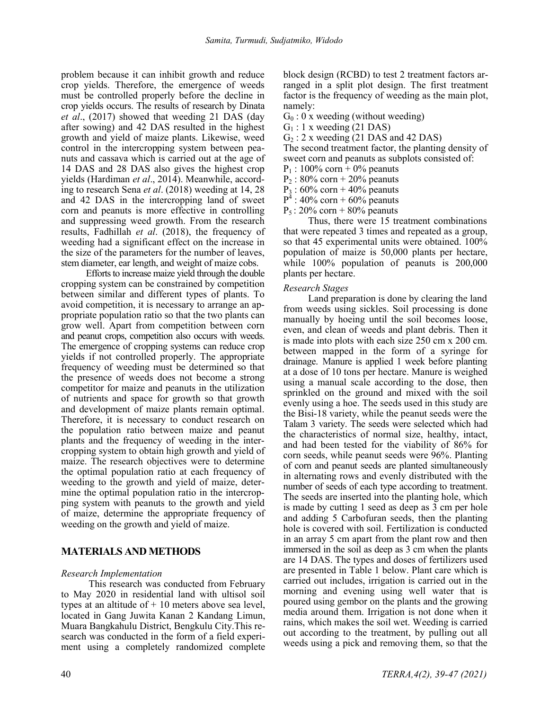problem because it can inhibit growth and reduce crop yields. Therefore, the emergence of weeds must be controlled properly before the decline in crop yields occurs. The results of research by Dinata *et al*., (2017) showed that weeding 21 DAS (day after sowing) and 42 DAS resulted in the highest growth and yield of maize plants. Likewise, weed control in the intercropping system between peanuts and cassava which is carried out at the age of 14 DAS and 28 DAS also gives the highest crop yields (Hardiman *et al*., 2014). Meanwhile, according to research Sena *et al*. (2018) weeding at 14, 28 and 42 DAS in the intercropping land of sweet corn and peanuts is more effective in controlling and suppressing weed growth. From the research results, Fadhillah *et al*. (2018), the frequency of weeding had a significant effect on the increase in the size of the parameters for the number of leaves, stem diameter, ear length, and weight of maize cobs.

Efforts to increase maize yield through the double cropping system can be constrained by competition between similar and different types of plants. To avoid competition, it is necessary to arrange an appropriate population ratio so that the two plants can grow well. Apart from competition between corn and peanut crops, competition also occurs with weeds. The emergence of cropping systems can reduce crop yields if not controlled properly. The appropriate frequency of weeding must be determined so that the presence of weeds does not become a strong competitor for maize and peanuts in the utilization of nutrients and space for growth so that growth and development of maize plants remain optimal. Therefore, it is necessary to conduct research on the population ratio between maize and peanut plants and the frequency of weeding in the intercropping system to obtain high growth and yield of maize. The research objectives were to determine the optimal population ratio at each frequency of weeding to the growth and yield of maize, determine the optimal population ratio in the intercropping system with peanuts to the growth and yield of maize, determine the appropriate frequency of weeding on the growth and yield of maize.

# **MATERIALS AND METHODS**

## *Research Implementation*

This research was conducted from February to May 2020 in residential land with ultisol soil types at an altitude of  $+10$  meters above sea level, located in Gang Juwita Kanan 2 Kandang Limun, Muara Bangkahulu District, Bengkulu City.This research was conducted in the form of a field experiment using a completely randomized complete block design (RCBD) to test 2 treatment factors arranged in a split plot design. The first treatment factor is the frequency of weeding as the main plot, namely:

- $G_0$ : 0 x weeding (without weeding)
- $G_1$ : 1 x weeding (21 DAS)
- $G_2$ : 2 x weeding (21 DAS and 42 DAS)

The second treatment factor, the planting density of sweet corn and peanuts as subplots consisted of:

- $P_1$  : 100% corn + 0% peanuts
- $P_2$ : 80% corn + 20% peanuts
- $P_3$ : 60% corn + 40% peanuts
- $P^4$  : 40% corn + 60% peanuts
- $P_5$ : 20% corn + 80% peanuts

Thus, there were 15 treatment combinations that were repeated 3 times and repeated as a group, so that 45 experimental units were obtained. 100% population of maize is 50,000 plants per hectare, while 100% population of peanuts is 200,000 plants per hectare.

## *Research Stages*

Land preparation is done by clearing the land from weeds using sickles. Soil processing is done manually by hoeing until the soil becomes loose, even, and clean of weeds and plant debris. Then it is made into plots with each size 250 cm x 200 cm. between mapped in the form of a syringe for drainage. Manure is applied 1 week before planting at a dose of 10 tons per hectare. Manure is weighed using a manual scale according to the dose, then sprinkled on the ground and mixed with the soil evenly using a hoe. The seeds used in this study are the Bisi-18 variety, while the peanut seeds were the Talam 3 variety. The seeds were selected which had the characteristics of normal size, healthy, intact, and had been tested for the viability of 86% for corn seeds, while peanut seeds were 96%. Planting of corn and peanut seeds are planted simultaneously in alternating rows and evenly distributed with the number of seeds of each type according to treatment. The seeds are inserted into the planting hole, which is made by cutting 1 seed as deep as 3 cm per hole and adding 5 Carbofuran seeds, then the planting hole is covered with soil. Fertilization is conducted in an array 5 cm apart from the plant row and then immersed in the soil as deep as 3 cm when the plants are 14 DAS. The types and doses of fertilizers used are presented in Table 1 below. Plant care which is carried out includes, irrigation is carried out in the morning and evening using well water that is poured using gembor on the plants and the growing media around them. Irrigation is not done when it rains, which makes the soil wet. Weeding is carried out according to the treatment, by pulling out all weeds using a pick and removing them, so that the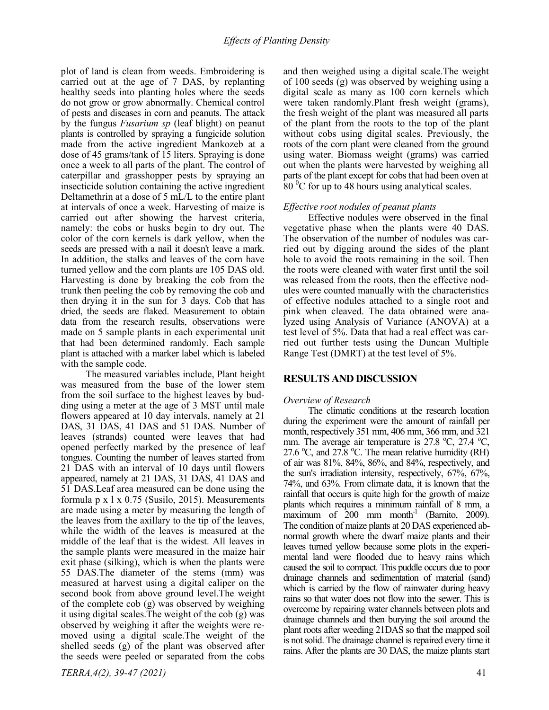plot of land is clean from weeds. Embroidering is carried out at the age of 7 DAS, by replanting healthy seeds into planting holes where the seeds do not grow or grow abnormally. Chemical control of pests and diseases in corn and peanuts. The attack by the fungus *Fusarium sp* (leaf blight) on peanut plants is controlled by spraying a fungicide solution made from the active ingredient Mankozeb at a dose of 45 grams/tank of 15 liters. Spraying is done once a week to all parts of the plant. The control of caterpillar and grasshopper pests by spraying an insecticide solution containing the active ingredient Deltamethrin at a dose of 5 mL/L to the entire plant at intervals of once a week. Harvesting of maize is carried out after showing the harvest criteria, namely: the cobs or husks begin to dry out. The color of the corn kernels is dark yellow, when the seeds are pressed with a nail it doesn't leave a mark. In addition, the stalks and leaves of the corn have turned yellow and the corn plants are 105 DAS old. Harvesting is done by breaking the cob from the trunk then peeling the cob by removing the cob and then drying it in the sun for 3 days. Cob that has dried, the seeds are flaked. Measurement to obtain data from the research results, observations were made on 5 sample plants in each experimental unit that had been determined randomly. Each sample plant is attached with a marker label which is labeled with the sample code.

The measured variables include, Plant height was measured from the base of the lower stem from the soil surface to the highest leaves by budding using a meter at the age of 3 MST until male flowers appeared at 10 day intervals, namely at 21 DAS, 31 DAS, 41 DAS and 51 DAS. Number of leaves (strands) counted were leaves that had opened perfectly marked by the presence of leaf tongues. Counting the number of leaves started from 21 DAS with an interval of 10 days until flowers appeared, namely at 21 DAS, 31 DAS, 41 DAS and 51 DAS.Leaf area measured can be done using the formula p x l x 0.75 (Susilo, 2015). Measurements are made using a meter by measuring the length of the leaves from the axillary to the tip of the leaves, while the width of the leaves is measured at the middle of the leaf that is the widest. All leaves in the sample plants were measured in the maize hair exit phase (silking), which is when the plants were 55 DAS.The diameter of the stems (mm) was measured at harvest using a digital caliper on the second book from above ground level.The weight of the complete cob (g) was observed by weighing it using digital scales.The weight of the cob (g) was observed by weighing it after the weights were removed using a digital scale.The weight of the shelled seeds (g) of the plant was observed after the seeds were peeled or separated from the cobs

and then weighed using a digital scale.The weight of 100 seeds (g) was observed by weighing using a digital scale as many as 100 corn kernels which were taken randomly.Plant fresh weight (grams), the fresh weight of the plant was measured all parts of the plant from the roots to the top of the plant without cobs using digital scales. Previously, the roots of the corn plant were cleaned from the ground using water. Biomass weight (grams) was carried out when the plants were harvested by weighing all parts of the plant except for cobs that had been oven at  $80<sup>0</sup>C$  for up to 48 hours using analytical scales.

## *Effective root nodules of peanut plants*

Effective nodules were observed in the final vegetative phase when the plants were 40 DAS. The observation of the number of nodules was carried out by digging around the sides of the plant hole to avoid the roots remaining in the soil. Then the roots were cleaned with water first until the soil was released from the roots, then the effective nodules were counted manually with the characteristics of effective nodules attached to a single root and pink when cleaved. The data obtained were analyzed using Analysis of Variance (ANOVA) at a test level of 5%. Data that had a real effect was carried out further tests using the Duncan Multiple Range Test (DMRT) at the test level of 5%.

## **RESULTS AND DISCUSSION**

## *Overview of Research*

The climatic conditions at the research location during the experiment were the amount of rainfall per month, respectively 351 mm, 406 mm, 366 mm, and 321 mm. The average air temperature is  $27.8 \text{ °C}$ ,  $27.4 \text{ °C}$ , 27.6  $\degree$ C, and 27.8  $\degree$ C. The mean relative humidity (RH) of air was 81%, 84%, 86%, and 84%, respectively, and the sun's irradiation intensity, respectively, 67%, 67%, 74%, and 63%. From climate data, it is known that the rainfall that occurs is quite high for the growth of maize plants which requires a minimum rainfall of 8 mm, a  $\frac{1}{2}$  maximum of 200 mm month<sup>-1</sup> (Barnito, 2009). The condition of maize plants at 20 DAS experienced abnormal growth where the dwarf maize plants and their leaves turned yellow because some plots in the experimental land were flooded due to heavy rains which caused the soil to compact. This puddle occurs due to poor drainage channels and sedimentation of material (sand) which is carried by the flow of rainwater during heavy rains so that water does not flow into the sewer. This is overcome by repairing water channels between plots and drainage channels and then burying the soil around the plant roots after weeding 21DAS so that the mapped soil is not solid. The drainage channel is repaired every time it rains. After the plants are 30 DAS, the maize plants start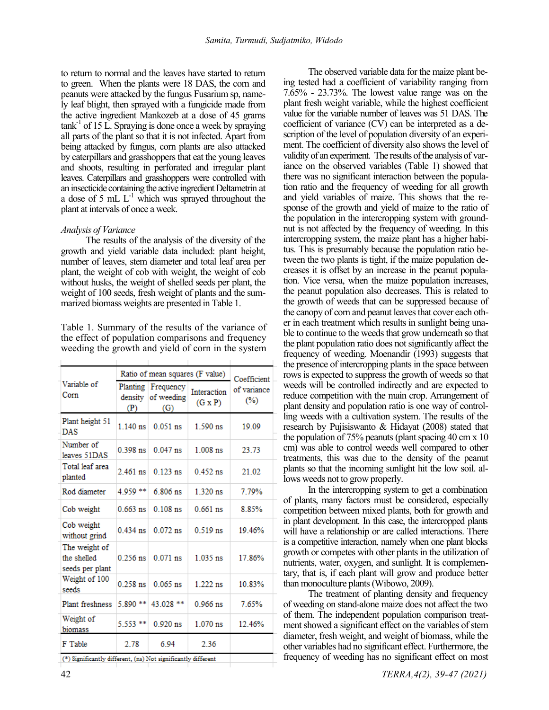to return to normal and the leaves have started to return to green. When the plants were 18 DAS, the corn and peanuts were attacked by the fungus Fusarium sp, namely leaf blight, then sprayed with a fungicide made from the active ingredient Mankozeb at a dose of 45 grams  $\text{tank}^{-1}$  of 15 L. Spraying is done once a week by spraying all parts of the plant so that it is not infected. Apart from being attacked by fungus, corn plants are also attacked by caterpillars and grasshoppers that eat the young leaves and shoots, resulting in perforated and irregular plant leaves. Caterpillars and grasshoppers were controlled with an insecticide containing the active ingredient Deltametrin at a dose of 5 mL  $L^{-1}$  which was sprayed throughout the plant at intervals of once a week.

#### *Analysis of Variance*

The results of the analysis of the diversity of the growth and yield variable data included: plant height, number of leaves, stem diameter and total leaf area per plant, the weight of cob with weight, the weight of cob without husks, the weight of shelled seeds per plant, the weight of 100 seeds, fresh weight of plants and the summarized biomass weights are presented in Table 1.

Table 1. Summary of the results of the variance of the effect of population comparisons and frequency weeding the growth and yield of corn in the system

|                                                 | Ratio of mean squares (F value) | Coefficient                    |                               |                       |  |
|-------------------------------------------------|---------------------------------|--------------------------------|-------------------------------|-----------------------|--|
| Variable of<br>Corn                             | Planting<br>density<br>(P)      | Frequency<br>of weeding<br>(G) | Interaction<br>$(G \times P)$ | of variance<br>$(\%)$ |  |
| Plant height 51<br><b>DAS</b>                   | $1.140$ ns                      | $0.051$ ns                     | $1.590$ ns                    | 19.09                 |  |
| Number of<br>leaves 51DAS                       | $0.398$ ns                      | $0.047$ ns                     | $1.008$ ns                    | 23.73                 |  |
| Total leaf area<br>planted                      | $2.461$ ns                      | $0.123$ ns                     | $0.452$ ns                    | 21.02                 |  |
| Rod diameter                                    | 4.959 **                        | $6.806$ ns                     | $1.320$ ns                    | 7.79%                 |  |
| Cob weight                                      | $0.663$ ns                      | $0.108$ ns                     | $0.661$ ns                    | 8.85%                 |  |
| Cob weight<br>without grind                     | $0.434$ ns                      | $0.072$ ns                     | $0.519$ ns                    | 19 46%                |  |
| The weight of<br>the shelled<br>seeds per plant | $0.256$ ns                      | $0.071$ ns                     | $1.035$ ns                    | 17.86%                |  |
| Weight of 100<br>seeds                          | $0.258$ ns                      | $0.065$ ns                     | $1.222$ ns                    | 10.83%                |  |
| <b>Plant freshness</b>                          | 5.890 **                        | 43.028 **                      | $0.966$ ns                    | 7.65%                 |  |
| Weight of<br>biomass                            | 5.553 **                        | $0.920$ ns                     | $1.070$ ns                    | 12.46%                |  |
| F Table                                         | 2.78                            | 6.94                           | 2.36                          |                       |  |
|                                                 |                                 |                                |                               |                       |  |

(\*) Significantly different, (ns) Not significantly different

42 *TERRA,4(2), 39-47 (2021)*

7.65% - 23.73%. The lowest value range was on the plant fresh weight variable, while the highest coefficient value for the variable number of leaves was 51 DAS. The coefficient of variance (CV) can be interpreted as a description of the level of population diversity of an experiment. The coefficient of diversity also shows the level of validity of an experiment. The results of the analysisof variance on the observed variables (Table 1) showed that there was no significant interaction between the population ratio and the frequency of weeding for all growth and yield variables of maize. This shows that the response of the growth and yield of maize to the ratio of the population in the intercropping system with groundnut is not affected by the frequency of weeding. In this intercropping system, the maize plant has a higher habitus. This is presumably because the population ratio between the two plants is tight, if the maize population decreases it is offset by an increase in the peanut population. Vice versa, when the maize population increases, the peanut population also decreases. This is related to the growth of weeds that can be suppressed because of the canopy of corn and peanut leaves that cover each other in each treatment which results in sunlight being unable to continue to the weeds that grow underneath so that the plant population ratio does not significantly affect the frequency of weeding. Moenandir (1993) suggests that the presence of intercropping plants in the space between rows is expected to suppress the growth of weeds so that weeds will be controlled indirectly and are expected to reduce competition with the main crop. Arrangement of plant density and population ratio is one way of controlling weeds with a cultivation system. The results of the research by Pujisiswanto & Hidayat (2008) stated that the population of 75% peanuts (plant spacing 40 cm x 10 cm) was able to control weeds well compared to other treatments, this was due to the density of the peanut plants so that the incoming sunlight hit the low soil. allows weeds not to grow properly.

The observed variable data for the maize plant being tested had a coefficient of variability ranging from

In the intercropping system to get a combination of plants, many factors must be considered, especially competition between mixed plants, both for growth and in plant development. In this case, the intercropped plants will have a relationship or are called interactions. There is a competitive interaction, namely when one plant blocks growth or competes with other plants in the utilization of nutrients, water, oxygen, and sunlight. It is complementary, that is, if each plant will grow and produce better than monoculture plants (Wibowo, 2009).

The treatment of planting density and frequency of weeding on stand-alone maize does not affect the two of them. The independent population comparison treatment showed a significant effect on the variables of stem diameter, fresh weight, and weight of biomass, while the other variables had no significant effect. Furthermore, the frequency of weeding has no significant effect on most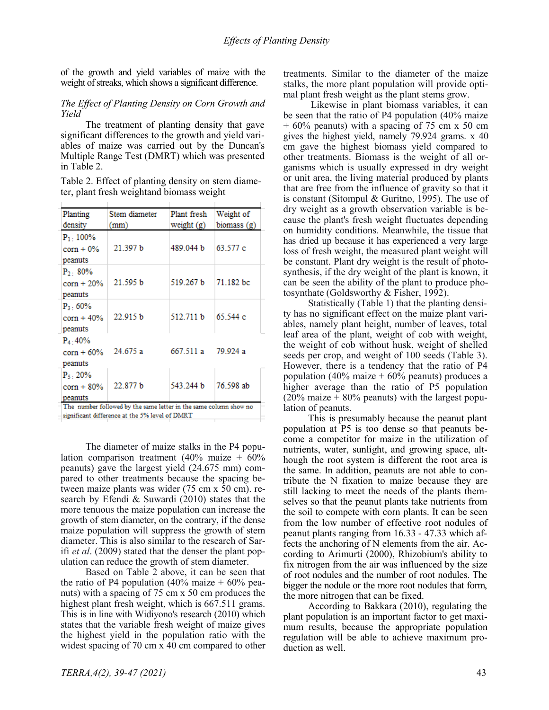of the growth and yield variables of maize with the weight of streaks, which shows a significant difference.

## *The Effect of Planting Density on Corn Growth and Yield*

The treatment of planting density that gave significant differences to the growth and yield variables of maize was carried out by the Duncan's Multiple Range Test (DMRT) which was presented in Table 2.

Table 2. Effect of planting density on stem diameter, plant fresh weightand biomass weight

| Planting                                     | Stem diameter | Plant fresh | Weight of   |
|----------------------------------------------|---------------|-------------|-------------|
| density                                      | (mm)          | weight (g)  | biomass (g) |
| $P_1 \cdot 100\%$<br>$corr + 0\%$<br>peanuts | 21.397 b      | 489.044 b   | 63.577 c    |
| $P_2$ : 80%<br>$corr + 20\%$<br>peanuts      | 21.595 b      | 519.267 b   | 71.182 bc   |
| $P_3:60\%$<br>$corr + 40%$<br>peanuts        | 22.915 b      | 512.711 b   | 65.544 c    |
| $P_4:40%$<br>$corn + 60%$<br>peanuts         | 24.675a       | 667 511 a   | 79.924 a    |
| $P_5 \cdot 20\%$<br>$corr + 80\%$<br>peanuts | 22.877 b      | 543.244 b   | 76.598 ab   |

 $-$ significant difference at the 5% level of  $DMRT$ 

The diameter of maize stalks in the P4 population comparison treatment (40% maize +  $60\%$ ) peanuts) gave the largest yield (24.675 mm) compared to other treatments because the spacing between maize plants was wider (75 cm x 50 cm). research by Efendi & Suwardi (2010) states that the more tenuous the maize population can increase the growth of stem diameter, on the contrary, if the dense maize population will suppress the growth of stem diameter. This is also similar to the research of Sarifi *et al*. (2009) stated that the denser the plant population can reduce the growth of stem diameter.

Based on Table 2 above, it can be seen that the ratio of P4 population (40% maize  $+60\%$  peanuts) with a spacing of 75 cm x 50 cm produces the highest plant fresh weight, which is 667.511 grams. This is in line with Widiyono's research (2010) which states that the variable fresh weight of maize gives the highest yield in the population ratio with the widest spacing of 70 cm x 40 cm compared to other treatments. Similar to the diameter of the maize stalks, the more plant population will provide optimal plant fresh weight as the plant stems grow.

Likewise in plant biomass variables, it can be seen that the ratio of P4 population (40% maize + 60% peanuts) with a spacing of 75 cm x 50 cm gives the highest yield, namely 79.924 grams. x 40 cm gave the highest biomass yield compared to other treatments. Biomass is the weight of all organisms which is usually expressed in dry weight or unit area, the living material produced by plants that are free from the influence of gravity so that it is constant (Sitompul & Guritno, 1995). The use of dry weight as a growth observation variable is because the plant's fresh weight fluctuates depending on humidity conditions. Meanwhile, the tissue that has dried up because it has experienced a very large loss of fresh weight, the measured plant weight will be constant. Plant dry weight is the result of photosynthesis, if the dry weight of the plant is known, it can be seen the ability of the plant to produce photosynthate (Goldsworthy & Fisher, 1992).

Statistically (Table 1) that the planting density has no significant effect on the maize plant variables, namely plant height, number of leaves, total leaf area of the plant, weight of cob with weight, the weight of cob without husk, weight of shelled seeds per crop, and weight of 100 seeds (Table 3). However, there is a tendency that the ratio of P4 population (40% maize  $+60%$  peanuts) produces a higher average than the ratio of P5 population  $(20\% \text{ maize} + 80\% \text{ peanus})$  with the largest population of peanuts.

This is presumably because the peanut plant population at P5 is too dense so that peanuts become a competitor for maize in the utilization of nutrients, water, sunlight, and growing space, although the root system is different the root area is the same. In addition, peanuts are not able to contribute the N fixation to maize because they are still lacking to meet the needs of the plants themselves so that the peanut plants take nutrients from the soil to compete with corn plants. It can be seen from the low number of effective root nodules of peanut plants ranging from 16.33 - 47.33 which affects the anchoring of N elements from the air. According to Arimurti (2000), Rhizobium's ability to fix nitrogen from the air was influenced by the size of root nodules and the number of root nodules. The bigger the nodule or the more root nodules that form, the more nitrogen that can be fixed.

According to Bakkara (2010), regulating the plant population is an important factor to get maximum results, because the appropriate population regulation will be able to achieve maximum production as well.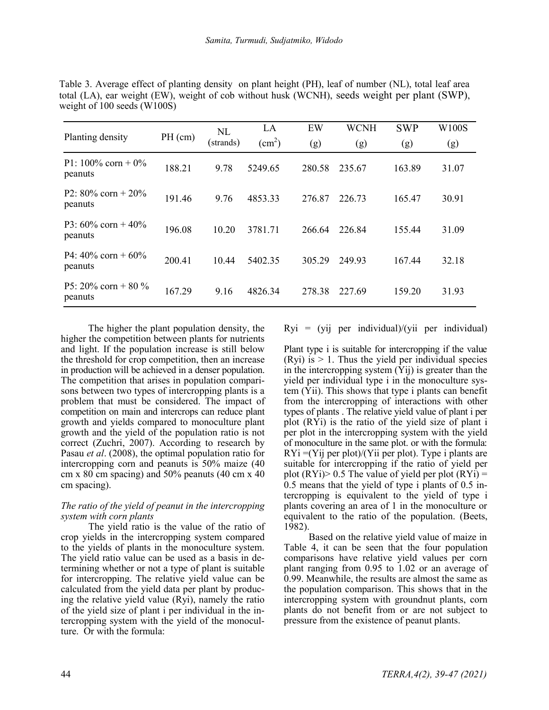|                                     | $PH$ (cm) | NL        | LA              | EW     | <b>WCNH</b> | <b>SWP</b> | W100S |
|-------------------------------------|-----------|-----------|-----------------|--------|-------------|------------|-------|
| Planting density                    |           | (strands) | $\text{cm}^2$ ) | (g)    | (g)         | (g)        | (g)   |
| P1: $100\%$ corn + $0\%$<br>peanuts | 188.21    | 9.78      | 5249.65         | 280.58 | 235.67      | 163.89     | 31.07 |
| P2: $80\%$ corn + $20\%$<br>peanuts | 191.46    | 9.76      | 4853.33         | 276.87 | 226.73      | 165.47     | 30.91 |
| P3: $60\%$ corn + 40%<br>peanuts    | 196.08    | 10.20     | 3781.71         | 266.64 | 226.84      | 155.44     | 31.09 |
| P4: $40\%$ corn + $60\%$<br>peanuts | 200.41    | 10.44     | 5402.35         | 305.29 | 249.93      | 167.44     | 32.18 |
| P5: 20% corn + 80 %<br>peanuts      | 167.29    | 9.16      | 4826.34         | 278.38 | 227.69      | 159.20     | 31.93 |

Table 3. Average effect of planting density on plant height (PH), leaf of number (NL), total leaf area total (LA), ear weight (EW), weight of cob without husk (WCNH), seeds weight per plant (SWP), weight of 100 seeds (W100S)

The higher the plant population density, the higher the competition between plants for nutrients and light. If the population increase is still below the threshold for crop competition, then an increase in production will be achieved in a denser population. The competition that arises in population comparisons between two types of intercropping plants is a problem that must be considered. The impact of competition on main and intercrops can reduce plant growth and yields compared to monoculture plant growth and the yield of the population ratio is not correct (Zuchri, 2007). According to research by Pasau *et al*. (2008), the optimal population ratio for intercropping corn and peanuts is 50% maize (40 cm x 80 cm spacing) and 50% peanuts (40 cm x 40 cm spacing).

## *The ratio of the yield of peanut in the intercropping system with corn plants*

The yield ratio is the value of the ratio of crop yields in the intercropping system compared to the yields of plants in the monoculture system. The yield ratio value can be used as a basis in determining whether or not a type of plant is suitable for intercropping. The relative yield value can be calculated from the yield data per plant by producing the relative yield value (Ryi), namely the ratio of the yield size of plant i per individual in the intercropping system with the yield of the monoculture. Or with the formula:

Ryi = (yij per individual)/(yii per individual)

Plant type i is suitable for intercropping if the value (Ryi) is  $> 1$ . Thus the yield per individual species in the intercropping system (Yij) is greater than the yield per individual type i in the monoculture system (Yii). This shows that type i plants can benefit from the intercropping of interactions with other types of plants . The relative yield value of plant i per plot (RYi) is the ratio of the yield size of plant i per plot in the intercropping system with the yield of monoculture in the same plot. or with the formula:  $RYi = (Yi)$  per plot)/ $(Yii$  per plot). Type i plants are suitable for intercropping if the ratio of yield per plot  $(RYi)$  > 0.5 The value of yield per plot  $(RYi)$  = 0.5 means that the yield of type i plants of 0.5 intercropping is equivalent to the yield of type i plants covering an area of 1 in the monoculture or equivalent to the ratio of the population. (Beets, 1982).

Based on the relative yield value of maize in Table 4, it can be seen that the four population comparisons have relative yield values per corn plant ranging from 0.95 to 1.02 or an average of 0.99. Meanwhile, the results are almost the same as the population comparison. This shows that in the intercropping system with groundnut plants, corn plants do not benefit from or are not subject to pressure from the existence of peanut plants.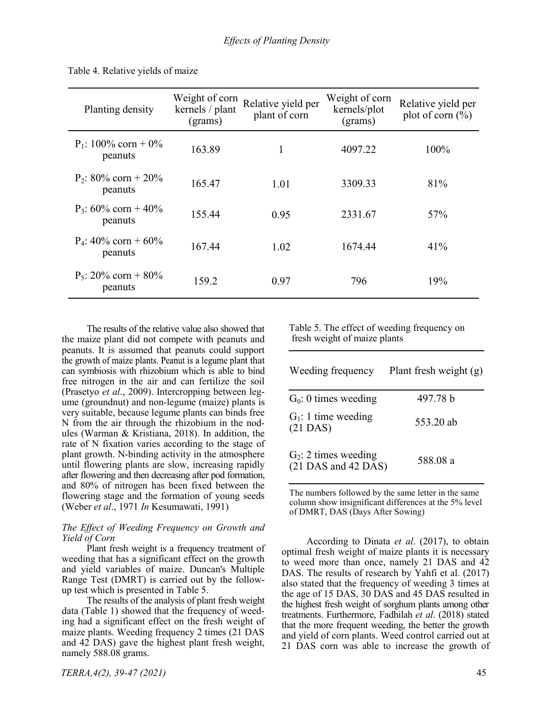| Planting density                  | Weight of corn<br>kernels / plant<br>(grams) | Relative yield per<br>plant of corn | Weight of corn<br>kernels/plot<br>(grams) | Relative yield per<br>plot of corn $(\% )$ |
|-----------------------------------|----------------------------------------------|-------------------------------------|-------------------------------------------|--------------------------------------------|
| $P_1$ : 100% corn + 0%<br>peanuts | 163.89                                       | 1                                   | 4097.22                                   | 100%                                       |
| $P_2$ : 80% corn + 20%<br>peanuts | 165.47                                       | 1.01                                | 3309.33                                   | 81%                                        |
| $P_3$ : 60% corn + 40%<br>peanuts | 155.44                                       | 0.95                                | 2331.67                                   | 57%                                        |
| $P_4$ : 40% corn + 60%<br>peanuts | 167.44                                       | 1.02                                | 1674.44                                   | 41%                                        |
| $P_5$ : 20% corn + 80%<br>peanuts | 159.2                                        | 0.97                                | 796                                       | 19%                                        |

Table 4. Relative yields of maize

The results of the relative value also showed that the maize plant did not compete with peanuts and peanuts. It is assumed that peanuts could support the growth of maize plants. Peanut is a legume plant that can symbiosis with rhizobium which is able to bind free nitrogen in the air and can fertilize the soil (Prasetyo *et al*., 2009). Intercropping between legume (groundnut) and non-legume (maize) plants is very suitable, because legume plants can binds free N from the air through the rhizobium in the nodules (Warman & Kristiana, 2018). In addition, the rate of N fixation varies according to the stage of plant growth. N-binding activity in the atmosphere until flowering plants are slow, increasing rapidly after flowering and then decreasing after pod formation, and 80% of nitrogen has been fixed between the flowering stage and the formation of young seeds (Weber *et al*., 1971 *In* Kesumawati, 1991)

#### *The Effect of Weeding Frequency on Growth and Yield of Corn*

Plant fresh weight is a frequency treatment of weeding that has a significant effect on the growth and yield variables of maize. Duncan's Multiple Range Test (DMRT) is carried out by the followup test which is presented in Table 5.

The results of the analysis of plant fresh weight data (Table 1) showed that the frequency of weeding had a significant effect on the fresh weight of maize plants. Weeding frequency 2 times (21 DAS and 42 DAS) gave the highest plant fresh weight, namely 588.08 grams.

 Table 5. The effect of weeding frequency on fresh weight of maize plants

| Weeding frequency                                | Plant fresh weight $(g)$ |
|--------------------------------------------------|--------------------------|
| $G_0$ : 0 times weeding                          | 497.78 b                 |
| $G_1$ : 1 time weeding<br>$(21$ DAS)             | 553.20 ab                |
| $G_2$ : 2 times weeding<br>$(21$ DAS and 42 DAS) | 588.08 a                 |

The numbers followed by the same letter in the same column show insignificant differences at the 5% level of DMRT, DAS (Days After Sowing)

According to Dinata *et al*. (2017), to obtain optimal fresh weight of maize plants it is necessary to weed more than once, namely 21 DAS and 42 DAS. The results of research by Yahfi et al. (2017) also stated that the frequency of weeding 3 times at the age of 15 DAS, 30 DAS and 45 DAS resulted in the highest fresh weight of sorghum plants among other treatments. Furthermore, Fadhilah *et al*. (2018) stated that the more frequent weeding, the better the growth and yield of corn plants. Weed control carried out at 21 DAS corn was able to increase the growth of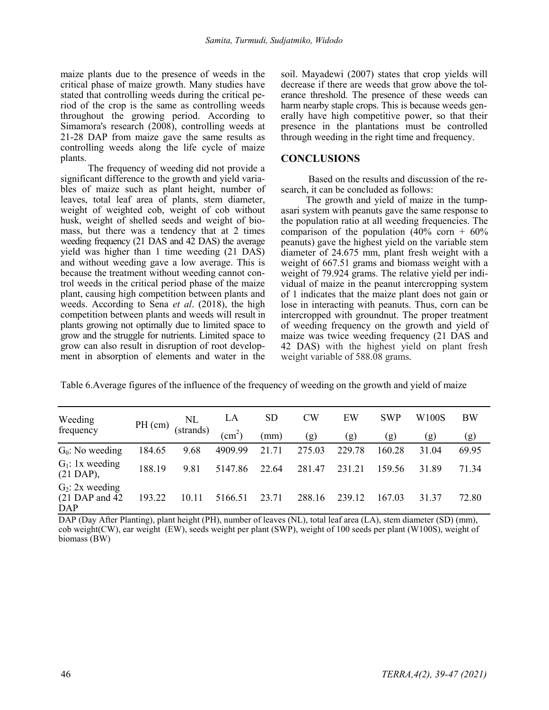maize plants due to the presence of weeds in the critical phase of maize growth. Many studies have stated that controlling weeds during the critical period of the crop is the same as controlling weeds throughout the growing period. According to Simamora's research (2008), controlling weeds at 21-28 DAP from maize gave the same results as controlling weeds along the life cycle of maize plants.

The frequency of weeding did not provide a significant difference to the growth and yield variables of maize such as plant height, number of leaves, total leaf area of plants, stem diameter, weight of weighted cob, weight of cob without husk, weight of shelled seeds and weight of biomass, but there was a tendency that at 2 times weeding frequency (21 DAS and 42 DAS) the average yield was higher than 1 time weeding (21 DAS) and without weeding gave a low average. This is because the treatment without weeding cannot control weeds in the critical period phase of the maize plant, causing high competition between plants and weeds. According to Sena *et al*. (2018), the high competition between plants and weeds will result in plants growing not optimally due to limited space to grow and the struggle for nutrients. Limited space to grow can also result in disruption of root development in absorption of elements and water in the soil. Mayadewi (2007) states that crop yields will decrease if there are weeds that grow above the tolerance threshold. The presence of these weeds can harm nearby staple crops. This is because weeds generally have high competitive power, so that their presence in the plantations must be controlled through weeding in the right time and frequency.

## **CONCLUSIONS**

Based on the results and discussion of the research, it can be concluded as follows:

The growth and yield of maize in the tumpasari system with peanuts gave the same response to the population ratio at all weeding frequencies. The comparison of the population  $(40\% \text{ corn} + 60\%)$ peanuts) gave the highest yield on the variable stem diameter of 24.675 mm, plant fresh weight with a weight of 667.51 grams and biomass weight with a weight of 79.924 grams. The relative yield per individual of maize in the peanut intercropping system of 1 indicates that the maize plant does not gain or lose in interacting with peanuts. Thus, corn can be intercropped with groundnut. The proper treatment of weeding frequency on the growth and yield of maize was twice weeding frequency (21 DAS and 42 DAS) with the highest yield on plant fresh weight variable of 588.08 grams.

Table 6.Average figures of the influence of the frequency of weeding on the growth and yield of maize

| Weeding                                               |           | NL<br>(strands) | LA                         | <b>SD</b> | <b>CW</b> | EW     | <b>SWP</b> | W <sub>100</sub> S | <b>BW</b> |
|-------------------------------------------------------|-----------|-----------------|----------------------------|-----------|-----------|--------|------------|--------------------|-----------|
| frequency                                             | $PH$ (cm) |                 | $\rm \langle cm^2 \rangle$ | (mm)      | (g)       | (g)    | (g)        | (g)                | (g)       |
| $G_0$ : No weeding                                    | 184.65    | 9.68            | 4909.99                    | 21.71     | 275.03    | 229.78 | 160.28     | 31.04              | 69.95     |
| $G_1$ : 1x weeding<br>$(21 \text{ DAP})$ ,            | 188.19    | 9.81            | 5147.86                    | 22.64     | 281.47    | 231.21 | 159.56     | 31.89              | 71.34     |
| $G_2$ : 2x weeding<br>$(21 \text{ DAP}$ and 42<br>DAP | 193.22    | 10.11           | 5166.51                    | 23.71     | 288.16    | 239.12 | 167.03     | 31.37              | 72.80     |

DAP (Day After Planting), plant height (PH), number of leaves (NL), total leaf area (LA), stem diameter (SD) (mm), cob weight(CW), ear weight (EW), seeds weight per plant (SWP), weight of 100 seeds per plant (W100S), weight of biomass (BW)